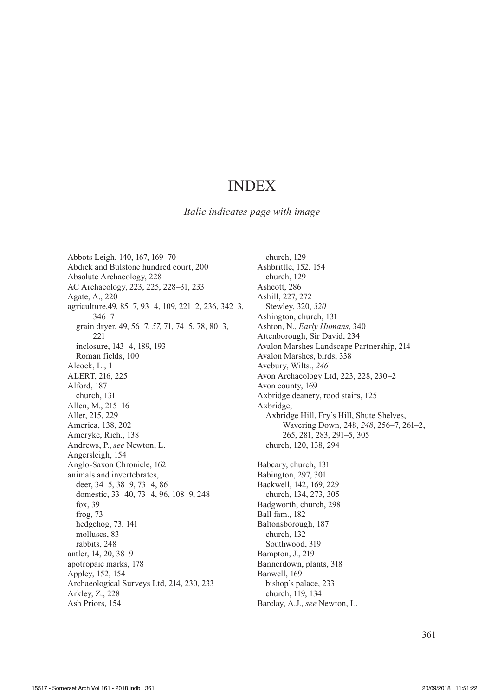# INDEX

*Italic indicates page with image*

Abbots Leigh, 140, 167, 169–70 Abdick and Bulstone hundred court, 200 Absolute Archaeology, 228 AC Archaeology, 223, 225, 228–31, 233 Agate, A., 220 agriculture,49, 85–7, 93–4, 109, 221–2, 236, 342–3, 346–7 grain dryer, 49, 56–7, *57*, 71, 74–5, 78, 80–3, 221 inclosure, 143–4, 189, 193 Roman fields, 100 Alcock, L., 1 ALERT, 216, 225 Alford, 187 church, 131 Allen, M., 215–16 Aller, 215, 229 America, 138, 202 Ameryke, Rich., 138 Andrews, P., *see* Newton, L. Angersleigh, 154 Anglo-Saxon Chronicle, 162 animals and invertebrates, deer, 34–5, 38–9, 73–4, 86 domestic, 33–40, 73–4, 96, 108–9, 248 fox, 39 frog, 73 hedgehog, 73, 141 molluscs, 83 rabbits, 248 antler, 14, 20, 38–9 apotropaic marks, 178 Appley, 152, 154 Archaeological Surveys Ltd, 214, 230, 233 Arkley, Z., 228 Ash Priors, 154

church, 129 Ashbrittle, 152, 154 church, 129 Ashcott, 286 Ashill, 227, 272 Stewley, 320, *320* Ashington, church, 131 Ashton, N., *Early Humans*, 340 Attenborough, Sir David, 234 Avalon Marshes Landscape Partnership, 214 Avalon Marshes, birds, 338 Avebury, Wilts., *246* Avon Archaeology Ltd, 223, 228, 230–2 Avon county, 169 Axbridge deanery, rood stairs, 125 Axbridge, Axbridge Hill, Fry's Hill, Shute Shelves, Wavering Down, 248, *248*, 256–7, 261–2, 265, 281, 283, 291–5, 305 church, 120, 138, 294 Babcary, church, 131 Babington, 297, 301 Backwell, 142, 169, 229 church, 134, 273, 305 Badgworth, church, 298 Ball fam., 182 Baltonsborough, 187 church, 132 Southwood, 319 Bampton, J., 219 Bannerdown, plants, 318 Banwell, 169 bishop's palace, 233 church, 119, 134 Barclay, A.J., *see* Newton, L.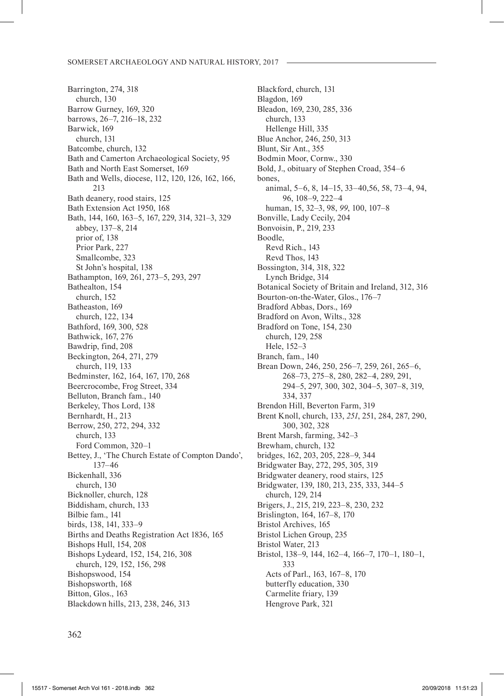Barrington, 274, 318 church, 130 Barrow Gurney, 169, 320 barrows, 26–7, 216–18, 232 Barwick, 169 church, 131 Batcombe, church, 132 Bath and Camerton Archaeological Society, 95 Bath and North East Somerset, 169 Bath and Wells, diocese, 112, 120, 126, 162, 166, 213 Bath deanery, rood stairs, 125 Bath Extension Act 1950, 168 Bath, 144, 160, 163–5, 167, 229, 314, 321–3, 329 abbey, 137–8, 214 prior of, 138 Prior Park, 227 Smallcombe, 323 St John's hospital, 138 Bathampton, 169, 261, 273–5, 293, 297 Bathealton, 154 church, 152 Batheaston, 169 church, 122, 134 Bathford, 169, 300, 528 Bathwick, 167, 276 Bawdrip, find, 208 Beckington, 264, 271, 279 church, 119, 133 Bedminster, 162, 164, 167, 170, 268 Beercrocombe, Frog Street, 334 Belluton, Branch fam., 140 Berkeley, Thos Lord, 138 Bernhardt, H., 213 Berrow, 250, 272, 294, 332 church, 133 Ford Common, 320–1 Bettey, J., 'The Church Estate of Compton Dando', 137–46 Bickenhall, 336 church, 130 Bicknoller, church, 128 Biddisham, church, 133 Bilbie fam., 141 birds, 138, 141, 333–9 Births and Deaths Registration Act 1836, 165 Bishops Hull, 154, 208 Bishops Lydeard, 152, 154, 216, 308 church, 129, 152, 156, 298 Bishopswood, 154 Bishopsworth, 168 Bitton, Glos., 163 Blackdown hills, 213, 238, 246, 313

Blackford, church, 131 Blagdon, 169 Bleadon, 169, 230, 285, 336 church, 133 Hellenge Hill, 335 Blue Anchor, 246, 250, 313 Blunt, Sir Ant., 355 Bodmin Moor, Cornw., 330 Bold, J., obituary of Stephen Croad, 354–6 bones, animal, 5–6, 8, 14–15, 33–40,56, 58, 73–4, 94, 96, 108–9, 222–4 human, 15, 32–3, 98, *99*, 100, 107–8 Bonville, Lady Cecily, 204 Bonvoisin, P., 219, 233 Boodle, Revd Rich., 143 Revd Thos, 143 Bossington, 314, 318, 322 Lynch Bridge, 314 Botanical Society of Britain and Ireland, 312, 316 Bourton-on-the-Water, Glos., 176–7 Bradford Abbas, Dors., 169 Bradford on Avon, Wilts., 328 Bradford on Tone, 154, 230 church, 129, 258 Hele, 152–3 Branch, fam., 140 Brean Down, 246, 250, 256–7, 259, 261, 265–6, 268–73, 275–8, 280, 282–4, 289, 291, 294–5, 297, 300, 302, 304–5, 307–8, 319, 334, 337 Brendon Hill, Beverton Farm, 319 Brent Knoll, church, 133, *251*, 251, 284, 287, 290, 300, 302, 328 Brent Marsh, farming, 342–3 Brewham, church, 132 bridges, 162, 203, 205, 228–9, 344 Bridgwater Bay, 272, 295, 305, 319 Bridgwater deanery, rood stairs, 125 Bridgwater, 139, 180, 213, 235, 333, 344–5 church, 129, 214 Brigers, J., 215, 219, 223–8, 230, 232 Brislington, 164, 167–8, 170 Bristol Archives, 165 Bristol Lichen Group, 235 Bristol Water, 213 Bristol, 138–9, 144, 162–4, 166–7, 170–1, 180–1, 333 Acts of Parl., 163, 167–8, 170 butterfly education, 330 Carmelite friary, 139 Hengrove Park, 321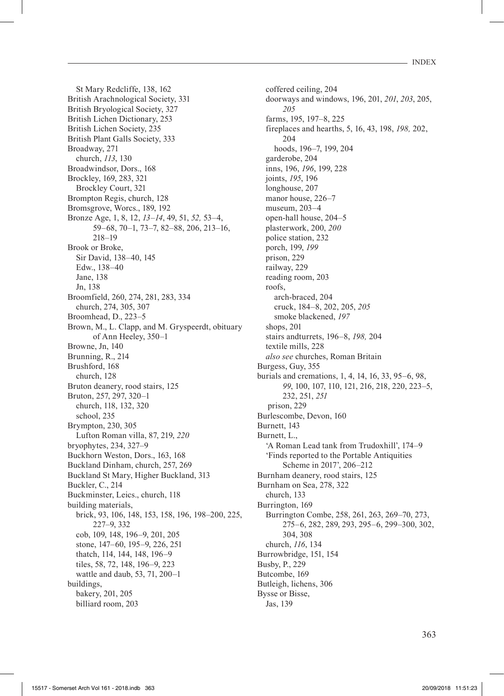St Mary Redcliffe, 138, 162 British Arachnological Society, 331 British Bryological Society, 327 British Lichen Dictionary, 253 British Lichen Society, 235 British Plant Galls Society, 333 Broadway, 271 church, *113*, 130 Broadwindsor, Dors., 168 Brockley, 169, 283, 321 Brockley Court, 321 Brompton Regis, church, 128 Bromsgrove, Worcs., 189, 192 Bronze Age, 1, 8, 12, *13–14*, 49, 51, *52,* 53–4, 59–68, 70–1, 73–7, 82–88, 206, 213–16, 218–19 Brook or Broke, Sir David, 138–40, 145 Edw., 138–40 Jane, 138 Jn, 138 Broomfield, 260, 274, 281, 283, 334 church, 274, 305, 307 Broomhead, D., 223–5 Brown, M., L. Clapp, and M. Gryspeerdt, obituary of Ann Heeley, 350–1 Browne, Jn, 140 Brunning, R., 214 Brushford, 168 church, 128 Bruton deanery, rood stairs, 125 Bruton, 257, 297, 320–1 church, 118, 132, 320 school, 235 Brympton, 230, 305 Lufton Roman villa, 87, 219, *220* bryophytes, 234, 327–9 Buckhorn Weston, Dors., 163, 168 Buckland Dinham, church, 257, 269 Buckland St Mary, Higher Buckland, 313 Buckler, C., 214 Buckminster, Leics., church, 118 building materials, brick, 93, 106, 148, 153, 158, 196, 198–200, 225, 227–9, 332 cob, 109, 148, 196–9, 201, 205 stone, 147–60, 195–9, 226, 251 thatch, 114, 144, 148, 196–9 tiles, 58, 72, 148, 196–9, 223 wattle and daub, 53, 71, 200–1 buildings, bakery, 201, 205 billiard room, 203

coffered ceiling, 204 doorways and windows, 196, 201, *201*, *203*, 205, *205* farms, 195, 197–8, 225 fireplaces and hearths, 5, 16, 43, 198, *198,* 202, 204 hoods, 196–7, 199, 204 garderobe, 204 inns, 196, *196*, 199, 228 joints, *195*, 196 longhouse, 207 manor house, 226-7 museum, 203–4 open-hall house, 204–5 plasterwork, 200, *200* police station, 232 porch, 199, *199* prison, 229 railway, 229 reading room, 203 roofs, arch-braced, 204 cruck, 184–8, 202, 205, *205* smoke blackened, *197* shops, 201 stairs andturrets, 196–8, *198,* 204 textile mills, 228 *also see* churches, Roman Britain Burgess, Guy, 355 burials and cremations, 1, 4, 14, 16, 33, 95–6, 98, *99*, 100, 107, 110, 121, 216, 218, 220, 223–5, 232, 251, *251* prison, 229 Burlescombe, Devon, 160 Burnett, 143 Burnett, L., 'A Roman Lead tank from Trudoxhill', 174–9 'Finds reported to the Portable Antiquities Scheme in 2017', 206–212 Burnham deanery, rood stairs, 125 Burnham on Sea, 278, 322 church, 133 Burrington, 169 Burrington Combe, 258, 261, 263, 269–70, 273, 275–6, 282, 289, 293, 295–6, 299–300, 302, 304, 308 church, *116*, 134 Burrowbridge, 151, 154 Busby, P., 229 Butcombe, 169 Butleigh, lichens, 306 Bysse or Bisse, Jas, 139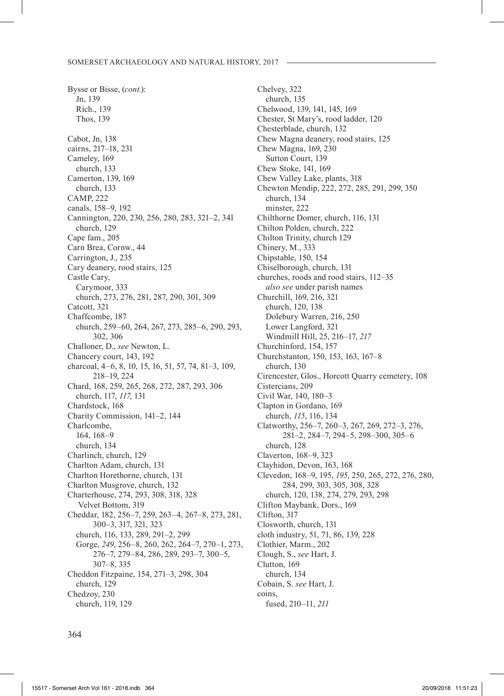Bysse or Bisse, (*cont.*): Jn, 139 Rich., 139 Thos, 139 Cabot, Jn, 138 cairns, 217–18, 231 Cameley, 169 church, 133 Camerton, 139, 169 church, 133 CAMP, 222 canals, 158–9, 192 Cannington, 220, 230, 256, 280, 283, 321–2, 341 church, 129 Cape fam., 205 Carn Brea, Cornw., 44 Carrington, J., 235 Cary deanery, rood stairs, 125 Castle Cary, Carymoor, 333 church, 273, 276, 281, 287, 290, 301, 309 Catcott, 321 Chaffcombe, 187 church, 259–60, 264, 267, 273, 285–6, 290, 293, 302, 306 Challoner, D., *see* Newton, L. Chancery court, 143, 192 charcoal, 4–6, 8, 10, 15, 16, 51, 57, 74, 81–3, 109, 218–19, 224 Chard, 168, 259, 265, 268, 272, 287, 293, 306 church, 117, *117*, 131 Chardstock, 168 Charity Commission, 141–2, 144 Charlcombe, 164, 168–9 church, 134 Charlinch, church, 129 Charlton Adam, church, 131 Charlton Horethorne, church, 131 Charlton Musgrove, church, 132 Charterhouse, 274, 293, 308, 318, 328 Velvet Bottom, 319 Cheddar, 182, 256–7, 259, 263–4, 267–8, 273, 281, 300–3, 317, 321, 323 church, 116, 133, 289, 291–2, 299 Gorge, *249*, 256–8, 260, 262, 264–7, 270–1, 273, 276–7, 279–84, 286, 289, 293–7, 300–5, 307–8, 335 Cheddon Fitzpaine, 154, 271–3, 298, 304 church, 129 Chedzoy, 230 church, 119, 129

Chelvey, 322 church, 135 Chelwood, 139, 141, 145, 169 Chester, St Mary's, rood ladder, 120 Chesterblade, church, 132 Chew Magna deanery, rood stairs, 125 Chew Magna, 169, 230 Sutton Court, 139 Chew Stoke, 141, 169 Chew Valley Lake, plants, 318 Chewton Mendip, 222, 272, 285, 291, 299, 350 church, 134 minster, 222 Chilthorne Domer, church, 116, 131 Chilton Polden, church, 222 Chilton Trinity, church 129 Chinery, M., 333 Chipstable, 150, 154 Chiselborough, church, 131 churches, roods and rood stairs, 112–35 *also see* under parish names Churchill, 169, 216, 321 church, 120, 138 Dolebury Warren, 216, 250 Lower Langford, 321 Windmill Hill, 25, 216–17, *217* Churchinford, 154, 157 Churchstanton, 150, 153, 163, 167–8 church, 130 Cirencester, Glos., Horcott Quarry cemetery, 108 Cistercians, 209 Civil War, 140, 180–3 Clapton in Gordano, 169 church, *115*, 116, 134 Clatworthy, 256–7, 260–3, 267, 269, 272–3, 276, 281–2, 284–7, 294–5, 298–300, 305–6 church, 128 Claverton, 168–9, 323 Clayhidon, Devon, 163, 168 Clevedon, 168–9, 195, *195*, 250, 265, 272, 276, 280, 284, 299, 303, 305, 308, 328 church, 120, 138, 274, 279, 293, 298 Clifton Maybank, Dors., 169 Clifton, 317 Closworth, church, 131 cloth industry, 51, 71, 86, 139, 228 Clothier, Marm., 202 Clough, S., *see* Hart, J. Clutton, 169 church, 134 Cobain, S. *see* Hart, J. coins, fused, 210–11, *211*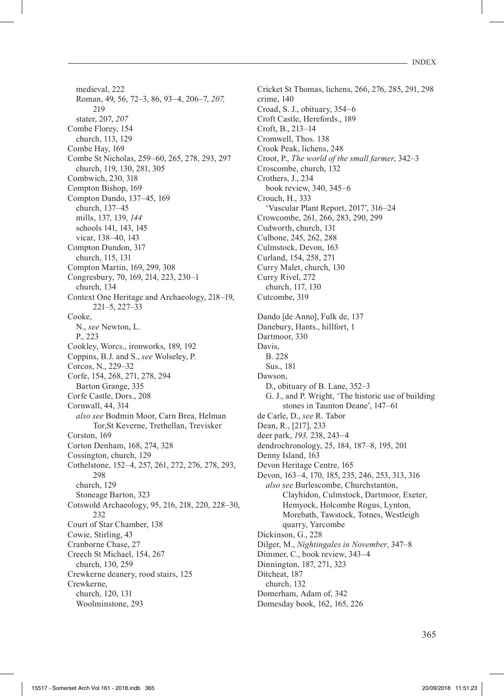medieval, 222 Roman, 49, 56, 72–3, 86, 93–4, 206–7, *207,* 219 stater, 207, *207* Combe Florey, 154 church, 113, 129 Combe Hay, 169 Combe St Nicholas, 259–60, 265, 278, 293, 297 church, 119, 130, 281, 305 Combwich, 230, 318 Compton Bishop, 169 Compton Dando, 137–45, 169 church, 137–45 mills, 137, 139, *144* schools 141, 143, 145 vicar, 138–40, 143 Compton Dundon, 317 church, 115, 131 Compton Martin, 169, 299, 308 Congresbury, 70, 169, 214, 223, 230–1 church, 134 Context One Heritage and Archaeology, 218–19, 221–5, 227–33 Cooke, N., *see* Newton, L. P., 223 Cookley, Worcs., ironworks, 189, 192 Coppins, B.J. and S., *see* Wolseley, P. Corcos, N., 229–32 Corfe, 154, 268, 271, 278, 294 Barton Grange, 335 Corfe Castle, Dors., 208 Cornwall, 44, 314 *also see* Bodmin Moor, Carn Brea, Helman Tor,St Keverne, Trethellan, Trevisker Corston, 169 Corton Denham, 168, 274, 328 Cossington, church, 129 Cothelstone, 152–4, 257, 261, 272, 276, 278, 293, 298 church, 129 Stoneage Barton, 323 Cotswold Archaeology, 95, 216, 218, 220, 228–30,  $232$ Court of Star Chamber, 138 Cowie, Stirling, 43 Cranborne Chase, 27 Creech St Michael, 154, 267 church, 130, 259 Crewkerne deanery, rood stairs, 125 Crewkerne, church, 120, 131 Woolminstone, 293

Cricket St Thomas, lichens, 266, 276, 285, 291, 298 crime, 140 Croad, S. J., obituary, 354–6 Croft Castle, Herefords., 189 Croft, B., 213–14 Cromwell, Thos. 138 Crook Peak, lichens, 248 Croot, P., *The world of the small farmer*, 342–3 Croscombe, church, 132 Crothers, J., 234 book review, 340, 345–6 Crouch, H., 333 'Vascular Plant Report, 2017', 316–24 Crowcombe, 261, 266, 283, 290, 299 Cudworth, church, 131 Culbone, 245, 262, 288 Culmstock, Devon, 163 Curland, 154, 258, 271 Curry Malet, church, 130 Curry Rivel, 272 church, 117, 130 Cutcombe, 319 Dando [de Anno], Fulk de, 137 Danebury, Hants., hillfort, 1 Dartmoor, 330 Davis, B. 228 Sus., 181 Dawson, D., obituary of B. Lane, 352–3 G. J., and P. Wright, 'The historic use of building stones in Taunton Deane', 147–61 de Carle, D., *see* R. Tabor Dean, R., [217], 233 deer park, *193,* 238, 243–4 dendrochronology, 25, 184, 187–8, 195, 201 Denny Island, 163 Devon Heritage Centre, 165 Devon, 163–4, 170, 185, 235, 246, 253, 313, 316 *also see* Burlescombe, Churchstanton, Clayhidon, Culmstock, Dartmoor, Exeter, Hemyock, Holcombe Rogus, Lynton, Morebath, Tawstock, Totnes, Westleigh quarry, Yarcombe Dickinson, G., 228 Dilger, M., *Nightingales in November*, 347–8 Dimmer, C., book review, 343–4 Dinnington, 187, 271, 323 Ditcheat, 187 church, 132 Domerham, Adam of, 342 Domesday book, 162, 165, 226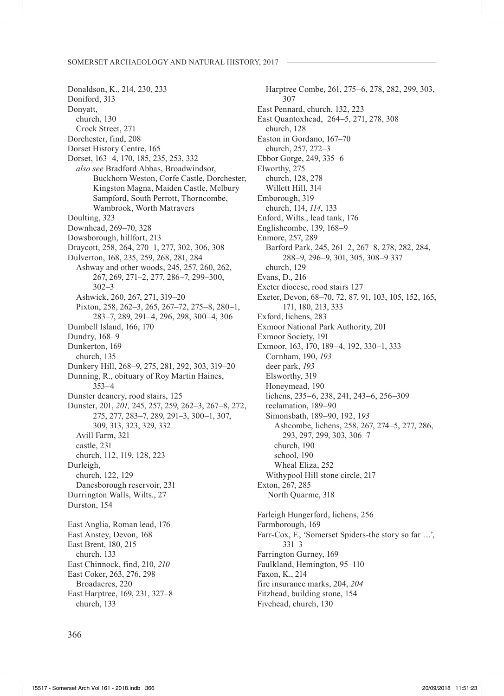Donaldson, K., 214, 230, 233 Doniford, 313 Donyatt, church, 130 Crock Street, 271 Dorchester, find, 208 Dorset History Centre, 165 Dorset, 163–4, 170, 185, 235, 253, 332 *also see* Bradford Abbas, Broadwindsor, Buckhorn Weston, Corfe Castle, Dorchester, Kingston Magna, Maiden Castle, Melbury Sampford, South Perrott, Thorncombe, Wambrook, Worth Matravers Doulting, 323 Downhead, 269–70, 328 Dowsborough, hillfort, 213 Draycott, 258, 264, 270–1, 277, 302, 306, 308 Dulverton, 168, 235, 259, 268, 281, 284 Ashway and other woods, 245, 257, 260, 262, 267, 269, 271–2, 277, 286–7, 299–300, 302–3 Ashwick, 260, 267, 271, 319–20 Pixton, 258, 262–3, 265, 267–72, 275–8, 280–1, 283–7, 289, 291–4, 296, 298, 300–4, 306 Dumbell Island, 166, 170 Dundry, 168–9 Dunkerton, 169 church, 135 Dunkery Hill, 268–9, 275, 281, 292, 303, 319–20 Dunning, R., obituary of Roy Martin Haines, 353–4 Dunster deanery, rood stairs, 125 Dunster, 201, *201,* 245, 257, 259, 262–3, 267–8, 272, 275, 277, 283–7, 289, 291–3, 300–1, 307, 309, 313, 323, 329, 332 Avill Farm, 321 castle, 231 church, 112, 119, 128, 223 Durleigh, church, 122, 129 Danesborough reservoir, 231 Durrington Walls, Wilts., 27 Durston, 154 East Anglia, Roman lead, 176 East Anstey, Devon, 168 East Brent, 180, 215 church, 133 East Chinnock, find, 210, *210* East Coker, 263, 276, 298 Broadacres, 220 East Harptree, 169, 231, 327–8 church, 133

Harptree Combe, 261, 275–6, 278, 282, 299, 303, 307 East Pennard, church, 132, 223 East Quantoxhead, 264–5, 271, 278, 308 church, 128 Easton in Gordano, 167–70 church, 257, 272–3 Ebbor Gorge, 249, 335–6 Elworthy, 275 church, 128, 278 Willett Hill, 314 Emborough, 319 church, 114, *114*, 133 Enford, Wilts., lead tank, 176 Englishcombe, 139, 168–9 Enmore, 257, 289 Barford Park, 245, 261–2, 267–8, 278, 282, 284, 288–9, 296–9, 301, 305, 308–9 337 church, 129 Evans, D., 216 Exeter diocese, rood stairs 127 Exeter, Devon, 68–70, 72, 87, 91, 103, 105, 152, 165, 171, 180, 213, 333 Exford, lichens, 283 Exmoor National Park Authority, 201 Exmoor Society, 191 Exmoor, 163, 170, 189–4, 192, 330–1, 333 Cornham, 190, *193* deer park, *193* Elsworthy, 319 Honeymead, 190 lichens, 235–6, 238, 241, 243–6, 256–309 reclamation, 189–90 Simonsbath, 189–90, 192, 1*93* Ashcombe, lichens, 258, 267, 274–5, 277, 286, 293, 297, 299, 303, 306–7 church, 190 school, 190 Wheal Eliza, 252 Withypool Hill stone circle, 217 Exton, 267, 285 North Quarme, 318 Farleigh Hungerford, lichens, 256 Farmborough, 169 Farr-Cox, F., 'Somerset Spiders-the story so far …', 331–3 Farrington Gurney, 169 Faulkland, Hemington, 95–110 Faxon, K., 214 fire insurance marks, 204, *204* Fitzhead, building stone, 154 Fivehead, church, 130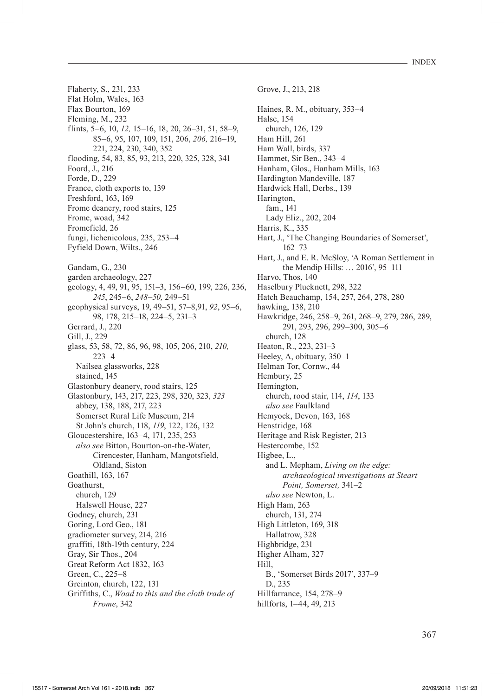- INDEX

Flaherty, S., 231, 233 Flat Holm, Wales, 163 Flax Bourton, 169 Fleming, M., 232 flints, 5–6, 10, *12,* 15*–*16, 18, 20, 26–31, 51, 58–9, 85–6, 95, 107, 109, 151, 206, *206,* 216–19, 221, 224, 230, 340, 352 flooding, 54, 83, 85, 93, 213, 220, 325, 328, 341 Foord, J., 216 Forde, D., 229 France, cloth exports to, 139 Freshford, 163, 169 Frome deanery, rood stairs, 125 Frome, woad, 342 Fromefield, 26 fungi, lichenicolous, 235, 253–4 Fyfield Down, Wilts., 246 Gandam, G., 230 garden archaeology, 227 geology, 4, 49, 91, 95, 151–3, 156–60, 199, 226, 236, *245*, 245–6, *248–50,* 249–51 geophysical surveys, 19, 49–51, 57–8,91, *92*, 95–6, 98, 178, 215–18, 224–5, 231–3 Gerrard, J., 220 Gill, J., 229 glass, 53, 58, 72, 86, 96, 98, 105, 206, 210, *210,*  223–4 Nailsea glassworks, 228 stained, 145 Glastonbury deanery, rood stairs, 125 Glastonbury, 143, 217, 223, 298, 320, 323, *323* abbey, 138, 188, 217, 223 Somerset Rural Life Museum, 214 St John's church, 118, *119*, 122, 126, 132 Gloucestershire, 163–4, 171, 235, 253 *also see* Bitton, Bourton-on-the-Water, Cirencester, Hanham, Mangotsfield, Oldland, Siston Goathill, 163, 167 Goathurst, church, 129 Halswell House, 227 Godney, church, 231 Goring, Lord Geo., 181 gradiometer survey, 214, 216 graffiti, 18th-19th century, 224 Gray, Sir Thos., 204 Great Reform Act 1832, 163 Green, C., 225–8 Greinton, church, 122, 131 Griffiths, C., *Woad to this and the cloth trade of Frome*, 342

Grove, J., 213, 218 Haines, R. M., obituary, 353–4 Halse, 154 church, 126, 129 Ham Hill, 261 Ham Wall, birds, 337 Hammet, Sir Ben., 343–4 Hanham, Glos., Hanham Mills, 163 Hardington Mandeville, 187 Hardwick Hall, Derbs., 139 Harington, fam., 141 Lady Eliz., 202, 204 Harris, K., 335 Hart, J., 'The Changing Boundaries of Somerset', 162–73 Hart, J., and E. R. McSloy, 'A Roman Settlement in the Mendip Hills: … 2016', 95–111 Harvo, Thos, 140 Haselbury Plucknett, 298, 322 Hatch Beauchamp, 154, 257, 264, 278, 280 hawking, 138, 210 Hawkridge, 246, 258–9, 261, 268–9, 279, 286, 289, 291, 293, 296, 299–300, 305–6 church, 128 Heaton, R., 223, 231–3 Heeley, A, obituary, 350–1 Helman Tor, Cornw., 44 Hembury, 25 Hemington, church, rood stair, 114, *114*, 133 *also see* Faulkland Hemyock, Devon, 163, 168 Henstridge, 168 Heritage and Risk Register, 213 Hestercombe, 152 Higbee, L., and L. Mepham, *Living on the edge: archaeological investigations at Steart Point, Somerset,* 341–2 *also see* Newton, L. High Ham, 263 church, 131, 274 High Littleton, 169, 318 Hallatrow, 328 Highbridge, 231 Higher Alham, 327 Hill, B., 'Somerset Birds 2017', 337–9 D., 235 Hillfarrance, 154, 278–9 hillforts, 1–44, 49, 213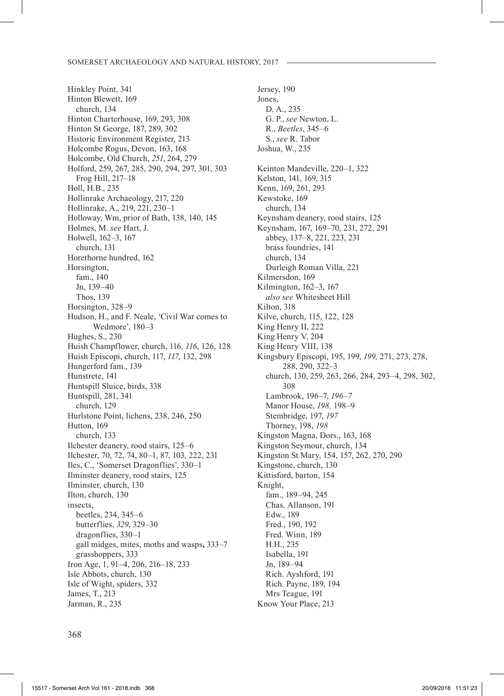Hinkley Point, 341 Hinton Blewett, 169 church, 134 Hinton Charterhouse, 169, 293, 308 Hinton St George, 187, 289, 302 Historic Environment Register, 213 Holcombe Rogus, Devon, 163, 168 Holcombe, Old Church, *251*, 264, 279 Holford, 259, 267, 285, 290, 294, 297, 301, 303 Frog Hill, 217–18 Holl, H.B., 235 Hollinrake Archaeology, 217, 220 Hollinrake, A., 219, 221, 230–1 Holloway, Wm, prior of Bath, 138, 140, 145 Holmes, M. *see* Hart, J. Holwell, 162–3, 167 church, 131 Horethorne hundred, 162 Horsington, fam., 140 Jn, 139–40 Thos, 139 Horsington, 328–9 Hudson, H., and F. Neale, 'Civil War comes to Wedmore', 180–3 Hughes, S., 230 Huish Champflower, church, 116, *116*, 126, 128 Huish Episcopi, church, 117, *117*, 132, 298 Hungerford fam., 139 Hunstrete, 141 Huntspill Sluice, birds, 338 Huntspill, 281, 341 church, 129 Hurlstone Point, lichens, 238, 246, 250 Hutton, 169 church, 133 Ilchester deanery, rood stairs, 125–6 Ilchester, 70, 72, 74, 80–1, 87, 103, 222, 231 Iles, C., 'Somerset Dragonflies', 330–1 Ilminster deanery, rood stairs, 125 Ilminster, church, 130 Ilton, church, 130 insects, beetles, 234, 345–6 butterflies, *329*, 329–30 dragonflies, 330–1 gall midges, mites, moths and wasps**,** 333–7 grasshoppers, 333 Iron Age, 1, 91–4, 206, 216–18, 233 Isle Abbots, church, 130 Isle of Wight, spiders, 332 James, T., 213 Jarman, R., 235

Jersey, 190 Jones, D. A., 235 G. P., *see* Newton, L. R., *Beetles*, 345–6 S., *see* R. Tabor Joshua, W., 235 Keinton Mandeville, 220–1, 322 Kelston, 141, 169, 315 Kenn, 169, 261, 293 Kewstoke, 169 church, 134 Keynsham deanery, rood stairs, 125 Keynsham, 167, 169–70, 231, 272, 291 abbey, 137–8, 221, 223, 231 brass foundries, 141 church, 134 Durleigh Roman Villa, 221 Kilmersdon, 169 Kilmington, 162–3, 167 *also see* Whitesheet Hill Kilton, 318 Kilve, church, 115, 122, 128 King Henry II, 222 King Henry V, 204 King Henry VIII, 138 Kingsbury Episcopi, 195, 199, *199,* 271, 273, 278, 288, 290, 322–3 church, 130, 259, 263, 266, 284, 293–4, 298, 302, 308 Lambrook, 196–7, *196–7* Manor House, *198,* 198–9 Stembridge, 197, *197* Thorney, 198, *198* Kingston Magna, Dors., 163, 168 Kingston Seymour, church, 134 Kingston St Mary, 154, 157, 262, 270, 290 Kingstone, church, 130 Kittisford, barton, 154 Knight, fam., 189–94, 245 Chas. Allanson, 191 Edw., 189 Fred., 190, 192 Fred. Winn, 189 H.H., 235 Isabella, 191 Jn, 189–94 Rich. Ayshford, 191 Rich. Payne, 189, 194 Mrs Teague, 191 Know Your Place, 213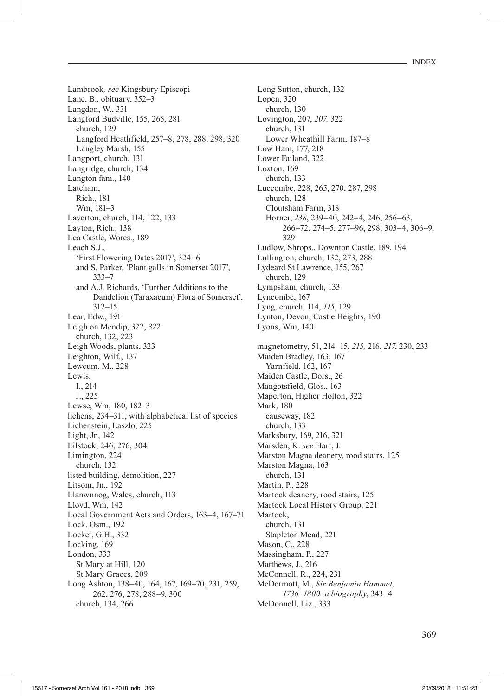Lambrook*, see* Kingsbury Episcopi Lane, B., obituary, 352–3 Langdon, W., 331 Langford Budville, 155, 265, 281 church, 129 Langford Heathfield, 257–8, 278, 288, 298, 320 Langley Marsh, 155 Langport, church, 131 Langridge, church, 134 Langton fam., 140 Latcham, Rich., 181 Wm, 181–3 Laverton, church, 114, 122, 133 Layton, Rich., 138 Lea Castle, Worcs., 189 Leach S.J., 'First Flowering Dates 2017', 324–6 and S. Parker, 'Plant galls in Somerset 2017', 333–7 and A.J. Richards, 'Further Additions to the Dandelion (Taraxacum) Flora of Somerset', 312–15 Lear, Edw., 191 Leigh on Mendip, 322, *322* church, 132, 223 Leigh Woods, plants, 323 Leighton, Wilf., 137 Lewcum, M., 228 Lewis, I., 214 J., 225 Lewse, Wm, 180, 182–3 lichens, 234–311, with alphabetical list of species Lichenstein, Laszlo, 225 Light, Jn, 142 Lilstock, 246, 276, 304 Limington, 224 church, 132 listed building, demolition, 227 Litsom, Jn., 192 Llanwnnog, Wales, church, 113 Lloyd, Wm, 142 Local Government Acts and Orders, 163–4, 167–71 Lock, Osm., 192 Locket, G.H., 332 Locking, 169 London, 333 St Mary at Hill, 120 St Mary Graces, 209 Long Ashton, 138–40, 164, 167, 169–70, 231, 259, 262, 276, 278, 288–9, 300 church, 134, 266

Long Sutton, church, 132 Lopen, 320 church, 130 Lovington, 207, *207,* 322 church, 131 Lower Wheathill Farm, 187–8 Low Ham, 177, 218 Lower Failand, 322 Loxton, 169 church, 133 Luccombe, 228, 265, 270, 287, 298 church, 128 Cloutsham Farm, 318 Horner, *238*, 239–40, 242–4, 246, 256–63, 266–72, 274–5, 277–96, 298, 303–4, 306–9, 329 Ludlow, Shrops., Downton Castle, 189, 194 Lullington, church, 132, 273, 288 Lydeard St Lawrence, 155, 267 church, 129 Lympsham, church, 133 Lyncombe, 167 Lyng, church, 114, *115*, 129 Lynton, Devon, Castle Heights, 190 Lyons, Wm, 140 magnetometry, 51, 214–15, *215,* 216, *217*, 230, 233 Maiden Bradley, 163, 167 Yarnfield, 162, 167 Maiden Castle, Dors., 26 Mangotsfield, Glos., 163 Maperton, Higher Holton, 322 Mark, 180 causeway, 182 church, 133 Marksbury, 169, 216, 321 Marsden, K. *see* Hart, J. Marston Magna deanery, rood stairs, 125 Marston Magna, 163 church, 131 Martin, P., 228 Martock deanery, rood stairs, 125 Martock Local History Group, 221 Martock, church, 131 Stapleton Mead, 221 Mason, C., 228 Massingham, P., 227 Matthews, J., 216 McConnell, R., 224, 231 McDermott, M., *Sir Benjamin Hammet, 1736–1800: a biography*, 343–4 McDonnell, Liz., 333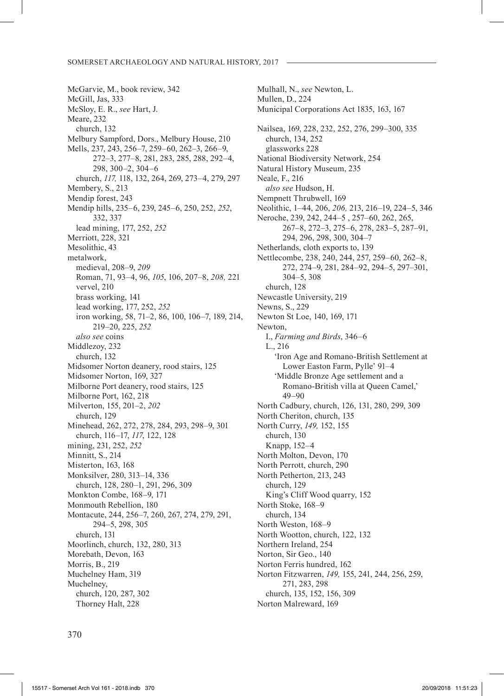McGarvie, M., book review, 342 McGill, Jas, 333 McSloy, E. R., *see* Hart, J. Meare, 232 church, 132 Melbury Sampford, Dors., Melbury House, 210 Mells, 237, 243, 256–7, 259–60, 262–3, 266–9, 272–3, 277–8, 281, 283, 285, 288, 292–4, 298, 300–2, 304–6 church, *117,* 118, 132, 264, 269, 273–4, 279, 297 Membery, S., 213 Mendip forest, 243 Mendip hills, 235–6, 239, 245–6, 250, 252, *252*, 332, 337 lead mining, 177, 252, *252* Merriott, 228, 321 Mesolithic, 43 metalwork, medieval, 208–9, *209* Roman, 71, 93–4, 96, *105*, 106, 207–8, *208,* 221 vervel, 210 brass working, 141 lead working, 177, 252, *252* iron working, 58, 71–2, 86, 100, 106–7, 189, 214, 219–20, 225, *252 also see* coins Middlezoy, 232 church, 132 Midsomer Norton deanery, rood stairs, 125 Midsomer Norton, 169, 327 Milborne Port deanery, rood stairs, 125 Milborne Port, 162, 218 Milverton, 155, 201–2, *202* church, 129 Minehead, 262, 272, 278, 284, 293, 298–9, 301 church, 116–17, *117*, 122, 128 mining, 231, 252, *252* Minnitt, S., 214 Misterton, 163, 168 Monksilver, 280, 313–14, 336 church, 128, 280–1, 291, 296, 309 Monkton Combe, 168–9, 171 Monmouth Rebellion, 180 Montacute, 244, 256–7, 260, 267, 274, 279, 291, 294–5, 298, 305 church, 131 Moorlinch, church, 132, 280, 313 Morebath, Devon, 163 Morris, B., 219 Muchelney Ham, 319 Muchelney, church, 120, 287, 302 Thorney Halt, 228

Mulhall, N., *see* Newton, L. Mullen, D., 224 Municipal Corporations Act 1835, 163, 167 Nailsea, 169, 228, 232, 252, 276, 299–300, 335 church, 134, 252 glassworks 228 National Biodiversity Network, 254 Natural History Museum, 235 Neale, F., 216 *also see* Hudson, H. Nempnett Thrubwell, 169 Neolithic, 1–44, 206, *206,* 213, 216–19, 224–5, 346 Neroche, 239, 242, 244–5 , 257–60, 262, 265, 267–8, 272–3, 275–6, 278, 283–5, 287–91, 294, 296, 298, 300, 304–7 Netherlands, cloth exports to, 139 Nettlecombe, 238, 240, 244, 257, 259–60, 262–8, 272, 274–9, 281, 284–92, 294–5, 297–301, 304–5, 308 church, 128 Newcastle University, 219 Newns, S., 229 Newton St Loe, 140, 169, 171 Newton, I., *Farming and Birds*, 346–6 L., 216 'Iron Age and Romano-British Settlement at Lower Easton Farm, Pylle' 91–4 'Middle Bronze Age settlement and a Romano-British villa at Queen Camel,' 49–90 North Cadbury, church, 126, 131, 280, 299, 309 North Cheriton, church, 135 North Curry, *149,* 152, 155 church, 130 Knapp, 152–4 North Molton, Devon, 170 North Perrott, church, 290 North Petherton, 213, 243 church, 129 King's Cliff Wood quarry, 152 North Stoke, 168–9 church, 134 North Weston, 168–9 North Wootton, church, 122, 132 Northern Ireland, 254 Norton, Sir Geo., 140 Norton Ferris hundred, 162 Norton Fitzwarren, *149,* 155, 241, 244, 256, 259, 271, 283, 298 church, 135, 152, 156, 309 Norton Malreward, 169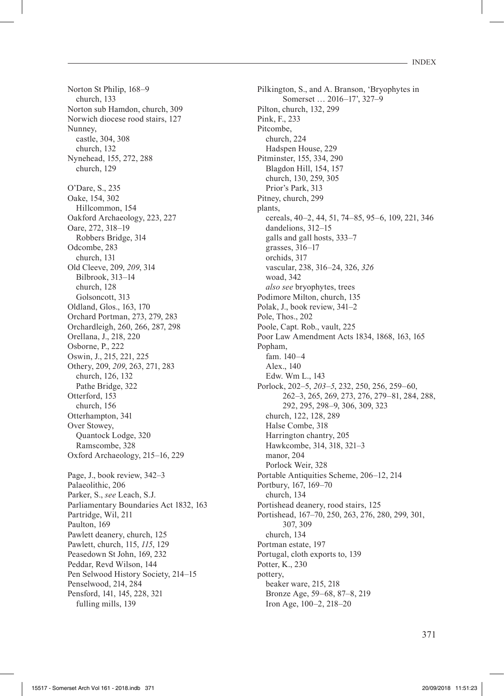Norton St Philip, 168–9 church, 133 Norton sub Hamdon, church, 309 Norwich diocese rood stairs, 127 Nunney, castle, 304, 308 church, 132 Nynehead, 155, 272, 288 church, 129 O'Dare, S., 235 Oake, 154, 302 Hillcommon, 154 Oakford Archaeology, 223, 227 Oare, 272, 318–19 Robbers Bridge, 314 Odcombe, 283 church, 131 Old Cleeve, 209, *209*, 314 Bilbrook, 313–14 church, 128 Golsoncott, 313 Oldland, Glos., 163, 170 Orchard Portman, 273, 279, 283 Orchardleigh, 260, 266, 287, 298 Orellana, J., 218, 220 Osborne, P., 222 Oswin, J., 215, 221, 225 Othery, 209, *209*, 263, 271, 283 church, 126, 132 Pathe Bridge, 322 Otterford, 153 church, 156 Otterhampton, 341 Over Stowey, Quantock Lodge, 320 Ramscombe, 328 Oxford Archaeology, 215–16, 229 Page, J., book review, 342–3 Palaeolithic, 206 Parker, S., *see* Leach, S.J. Parliamentary Boundaries Act 1832, 163 Partridge, Wil, 211 Paulton, 169 Pawlett deanery, church, 125 Pawlett, church, 115, *115*, 129 Peasedown St John, 169, 232 Peddar, Revd Wilson, 144 Pen Selwood History Society, 214–15 Penselwood, 214, 284 Pensford, 141, 145, 228, 321 fulling mills, 139

Pilkington, S., and A. Branson, 'Bryophytes in Somerset … 2016–17', 327–9 Pilton, church, 132, 299 Pink, F., 233 Pitcombe, church, 224 Hadspen House, 229 Pitminster, 155, 334, 290 Blagdon Hill, 154, 157 church, 130, 259, 305 Prior's Park, 313 Pitney, church, 299 plants, cereals, 40–2, 44, 51, 74–85, 95–6, 109, 221, 346 dandelions, 312–15 galls and gall hosts, 333–7 grasses, 316–17 orchids, 317 vascular, 238, 316–24, 326, *326* woad, 342 *also see* bryophytes, trees Podimore Milton, church, 135 Polak, J., book review, 341–2 Pole, Thos., 202 Poole, Capt. Rob., vault, 225 Poor Law Amendment Acts 1834, 1868, 163, 165 Popham fam. 140–4 Alex., 140 Edw. Wm L., 143 Porlock, 202–5, *203–5*, 232, 250, 256, 259–60, 262–3, 265, 269, 273, 276, 279–81, 284, 288, 292, 295, 298–9, 306, 309, 323 church, 122, 128, 289 Halse Combe, 318 Harrington chantry, 205 Hawkcombe, 314, 318, 321–3 manor, 204 Porlock Weir, 328 Portable Antiquities Scheme, 206–12, 214 Portbury, 167, 169–70 church, 134 Portishead deanery, rood stairs, 125 Portishead, 167–70, 250, 263, 276, 280, 299, 301, 307, 309 church, 134 Portman estate, 197 Portugal, cloth exports to, 139 Potter, K., 230 pottery, beaker ware, 215, 218 Bronze Age, 59–68, 87–8, 219 Iron Age, 100–2, 218–20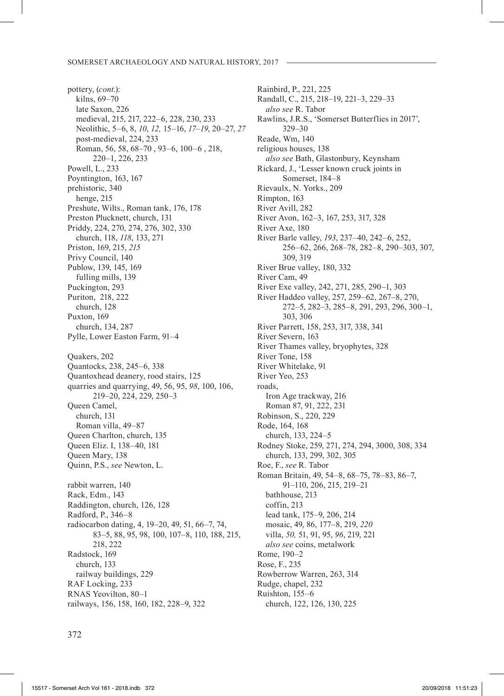pottery, (*cont*.): kilns, 69–70 late Saxon, 226 medieval, 215, 217, 222–6, 228, 230, 233 Neolithic, 5–6, 8, *10*, *12,* 15*–*16, *17–19*, 20–27, *27* post-medieval, 224, 233 Roman, 56, 58, 68–70 , 93–6, 100–6 , 218, 220–1, 226, 233 Powell, L., 233 Poyntington, 163, 167 prehistoric, 340 henge, 215 Preshute, Wilts., Roman tank, 176, 178 Preston Plucknett, church, 131 Priddy, 224, 270, 274, 276, 302, 330 church, 118, *118*, 133, 271 Priston, 169, 215, *215* Privy Council, 140 Publow, 139, 145, 169 fulling mills, 139 Puckington, 293 Puriton, 218, 222 church, 128 Puxton, 169 church, 134, 287 Pylle, Lower Easton Farm, 91–4 Quakers, 202 Quantocks, 238, 245–6, 338 Quantoxhead deanery, rood stairs, 125 quarries and quarrying, 49, 56, 95, *98*, 100, 106, 219–20, 224, 229, 250–3 Queen Camel, church, 131 Roman villa, 49–87 Queen Charlton, church, 135 Queen Eliz. I, 138–40, 181 Queen Mary, 138 Quinn, P.S., *see* Newton, L. rabbit warren, 140 Rack, Edm., 143 Raddington, church, 126, 128 Radford, P., 346–8 radiocarbon dating, 4, 19–20, 49, 51, 66–7, 74, 83–5, 88, 95, 98, 100, 107–8, 110, 188, 215, 218, 222 Radstock, 169 church, 133 railway buildings, 229 RAF Locking, 233 RNAS Yeovilton, 80–1 railways, 156, 158, 160, 182, 228–9, 322

Rainbird, P., 221, 225 Randall, C., 215, 218–19, 221–3, 229–33 *also see* R. Tabor Rawlins, J.R.S., 'Somerset Butterflies in 2017', 329–30 Reade, Wm, 140 religious houses, 138 *also see* Bath, Glastonbury, Keynsham Rickard, J., 'Lesser known cruck joints in Somerset, 184–8 Rievaulx, N. Yorks., 209 Rimpton, 163 River Avill, 282 River Avon, 162–3, 167, 253, 317, 328 River Axe, 180 River Barle valley, *193*, 237–40, 242–6, 252, 256–62, 266, 268–78, 282–8, 290–303, 307, 309, 319 River Brue valley, 180, 332 River Cam, 49 River Exe valley, 242, 271, 285, 290–1, 303 River Haddeo valley, 257, 259–62, 267–8, 270, 272–5, 282–3, 285–8, 291, 293, 296, 300–1, 303, 306 River Parrett, 158, 253, 317, 338, 341 River Severn, 163 River Thames valley, bryophytes, 328 River Tone, 158 River Whitelake, 91 River Yeo, 253 roads, Iron Age trackway, 216 Roman 87, 91, 222, 231 Robinson, S., 220, 229 Rode, 164, 168 church, 133, 224–5 Rodney Stoke, 259, 271, 274, 294, 3000, 308, 334 church, 133, 299, 302, 305 Roe, F., *see* R. Tabor Roman Britain, 49, 54–8, 68–75, 78–83, 86–7, 91–110, 206, 215, 219–21 bathhouse, 213 coffin, 213 lead tank, 175–9, 206, 214 mosaic, 49, 86, 177–8, 219, *220* villa, *50,* 51, 91, 95, *96*, 219, 221 *also see* coins, metalwork Rome, 190–2 Rose, F., 235 Rowberrow Warren, 263, 314 Rudge, chapel, 232 Ruishton, 155–6 church, 122, 126, 130, 225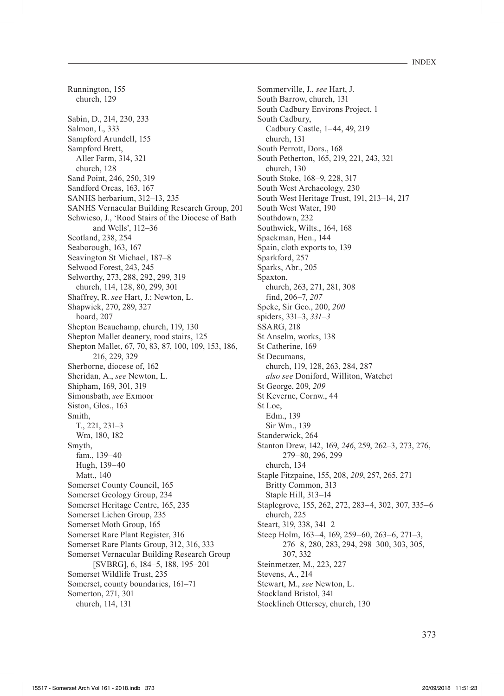Runnington, 155 church, 129 Sabin, D., 214, 230, 233 Salmon, I., 333 Sampford Arundell, 155 Sampford Brett, Aller Farm, 314, 321 church, 128 Sand Point, 246, 250, 319 Sandford Orcas, 163, 167 SANHS herbarium, 312–13, 235 SANHS Vernacular Building Research Group, 201 Schwieso, J., 'Rood Stairs of the Diocese of Bath and Wells', 112–36 Scotland, 238, 254 Seaborough, 163, 167 Seavington St Michael, 187–8 Selwood Forest, 243, 245 Selworthy, 273, 288, 292, 299, 319 church, 114, 128, 80, 299, 301 Shaffrey, R. *see* Hart, J.; Newton, L. Shapwick, 270, 289, 327 hoard, 207 Shepton Beauchamp, church, 119, 130 Shepton Mallet deanery, rood stairs, 125 Shepton Mallet, 67, 70, 83, 87, 100, 109, 153, 186, 216, 229, 329 Sherborne, diocese of, 162 Sheridan, A., *see* Newton, L. Shipham, 169, 301, 319 Simonsbath, *see* Exmoor Siston, Glos., 163 Smith, T., 221, 231–3 Wm, 180, 182 Smyth, fam., 139–40 Hugh, 139–40 Matt., 140 Somerset County Council, 165 Somerset Geology Group, 234 Somerset Heritage Centre, 165, 235 Somerset Lichen Group, 235 Somerset Moth Group, 165 Somerset Rare Plant Register, 316 Somerset Rare Plants Group, 312, 316, 333 Somerset Vernacular Building Research Group [SVBRG], 6, 184–5, 188, 195–201 Somerset Wildlife Trust, 235 Somerset, county boundaries, 161–71 Somerton, 271, 301 church, 114, 131

Sommerville, J., *see* Hart, J. South Barrow, church, 131 South Cadbury Environs Project, 1 South Cadbury, Cadbury Castle, 1–44, 49, 219 church, 131 South Perrott, Dors., 168 South Petherton, 165, 219, 221, 243, 321 church, 130 South Stoke, 168–9, 228, 317 South West Archaeology, 230 South West Heritage Trust, 191, 213–14, 217 South West Water, 190 Southdown, 232 Southwick, Wilts., 164, 168 Spackman, Hen., 144 Spain, cloth exports to, 139 Sparkford, 257 Sparks, Abr., 205 Spaxton, church, 263, 271, 281, 308 find, 206–7, *207* Speke, Sir Geo., 200, *200* spiders, 331–3, *331–3* SSARG, 218 St Anselm, works, 138 St Catherine, 169 St Decumans, church, 119, 128, 263, 284, 287 *also see* Doniford, Williton, Watchet St George, 209, *209* St Keverne, Cornw., 44 St Loe, Edm., 139 Sir Wm., 139 Standerwick, 264 Stanton Drew, 142, 169, *246*, 259, 262–3, 273, 276, 279–80, 296, 299 church, 134 Staple Fitzpaine, 155, 208, *209*, 257, 265, 271 Britty Common, 313 Staple Hill, 313–14 Staplegrove, 155, 262, 272, 283–4, 302, 307, 335–6 church, 225 Steart, 319, 338, 341–2 Steep Holm, 163–4, 169, 259–60, 263–6, 271–3, 276–8, 280, 283, 294, 298–300, 303, 305, 307, 332 Steinmetzer, M., 223, 227 Stevens, A., 214 Stewart, M., *see* Newton, L. Stockland Bristol, 341 Stocklinch Ottersey, church, 130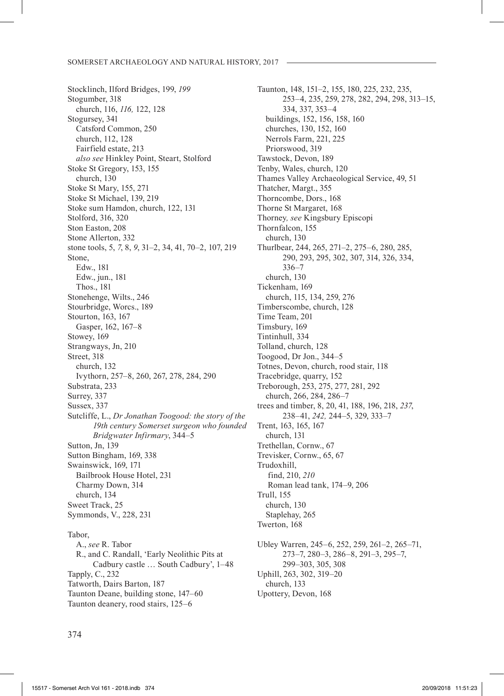Stocklinch, Ilford Bridges, 199, *199* Stogumber, 318 church, 116, *116,* 122, 128 Stogursey, 341 Catsford Common, 250 church, 112, 128 Fairfield estate, 213 *also see* Hinkley Point, Steart, Stolford Stoke St Gregory, 153, 155 church, 130 Stoke St Mary, 155, 271 Stoke St Michael, 139, 219 Stoke sum Hamdon, church, 122, 131 Stolford, 316, 320 Ston Easton, 208 Stone Allerton, 332 stone tools, 5, *7*, 8, *9*, 31–2, 34, 41, 70–2, 107, 219 Stone, Edw., 181 Edw., jun., 181 Thos., 181 Stonehenge, Wilts., 246 Stourbridge, Worcs., 189 Stourton, 163, 167 Gasper, 162, 167–8 Stowey, 169 Strangways, Jn, 210 Street, 318 church, 132 Ivythorn, 257–8, 260, 267, 278, 284, 290 Substrata, 233 Surrey, 337 Sussex, 337 Sutcliffe, L., *Dr Jonathan Toogood: the story of the 19th century Somerset surgeon who founded Bridgwater Infirmary*, 344–5 Sutton, Jn, 139 Sutton Bingham, 169, 338 Swainswick, 169, 171 Bailbrook House Hotel, 231 Charmy Down, 314 church, 134 Sweet Track, 25 Symmonds, V., 228, 231 Tabor, A., *see* R. Tabor

R., and C. Randall, 'Early Neolithic Pits at Cadbury castle … South Cadbury', 1–48 Tapply, C., 232 Tatworth, Dairs Barton, 187 Taunton Deane, building stone, 147–60 Taunton deanery, rood stairs, 125–6

Taunton, 148, 151–2, 155, 180, 225, 232, 235, 253–4, 235, 259, 278, 282, 294, 298, 313–15, 334, 337, 353–4 buildings, 152, 156, 158, 160 churches, 130, 152, 160 Nerrols Farm, 221, 225 Priorswood, 319 Tawstock, Devon, 189 Tenby, Wales, church, 120 Thames Valley Archaeological Service, 49, 51 Thatcher, Margt., 355 Thorncombe, Dors., 168 Thorne St Margaret, 168 Thorney*, see* Kingsbury Episcopi Thornfalcon, 155 church, 130 Thurlbear, 244, 265, 271–2, 275–6, 280, 285, 290, 293, 295, 302, 307, 314, 326, 334, 336–7 church, 130 Tickenham, 169 church, 115, 134, 259, 276 Timberscombe, church, 128 Time Team, 201 Timsbury, 169 Tintinhull, 334 Tolland, church, 128 Toogood, Dr Jon., 344–5 Totnes, Devon, church, rood stair, 118 Tracebridge, quarry, 152 Treborough, 253, 275, 277, 281, 292 church, 266, 284, 286–7 trees and timber, 8, 20, 41, 188, 196, 218, *237*, 238–41, *242,* 244–5, 329, 333–7 Trent, 163, 165, 167 church, 131 Trethellan, Cornw., 67 Trevisker, Cornw., 65, 67 Trudoxhill, find, 210, *210* Roman lead tank, 174–9, 206 Trull, 155 church, 130 Staplehay, 265 Twerton, 168 Ubley Warren, 245–6, 252, 259, 261–2, 265–71, 273–7, 280–3, 286–8, 291–3, 295–7, 299–303, 305, 308 Uphill, 263, 302, 319–20 church, 133

Upottery, Devon, 168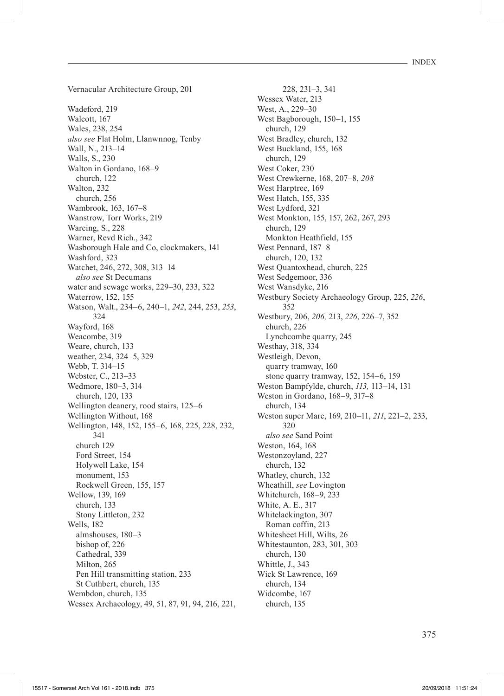Vernacular Architecture Group, 201

Wadeford, 219 Walcott, 167 Wales, 238, 254 *also see* Flat Holm, Llanwnnog, Tenby Wall, N., 213–14 Walls, S., 230 Walton in Gordano, 168–9 church, 122 Walton, 232 church, 256 Wambrook, 163, 167–8 Wanstrow, Torr Works, 219 Wareing, S., 228 Warner, Revd Rich., 342 Wasborough Hale and Co, clockmakers, 141 Washford, 323 Watchet, 246, 272, 308, 313–14 *also see* St Decumans water and sewage works, 229–30, 233, 322 Waterrow, 152, 155 Watson, Walt., 234–6, 240–1, *242*, 244, 253, *253*, 324 Wayford, 168 Weacombe, 319 Weare, church, 133 weather, 234, 324–5, 329 Webb, T. 314–15 Webster, C., 213–33 Wedmore, 180–3, 314 church, 120, 133 Wellington deanery, rood stairs, 125–6 Wellington Without, 168 Wellington, 148, 152, 155–6, 168, 225, 228, 232, 341 church 129 Ford Street, 154 Holywell Lake, 154 monument, 153 Rockwell Green, 155, 157 Wellow, 139, 169 church, 133 Stony Littleton, 232 Wells, 182 almshouses, 180–3 bishop of, 226 Cathedral, 339 Milton, 265 Pen Hill transmitting station, 233 St Cuthbert, church, 135 Wembdon, church, 135 Wessex Archaeology, 49, 51, 87, 91, 94, 216, 221,

228, 231–3, 341 Wessex Water, 213 West, A., 229–30 West Bagborough, 150–1, 155 church, 129 West Bradley, church, 132 West Buckland, 155, 168 church, 129 West Coker, 230 West Crewkerne, 168, 207–8, *208* West Harptree, 169 West Hatch, 155, 335 West Lydford, 321 West Monkton, 155, 157, 262, 267, 293 church, 129 Monkton Heathfield, 155 West Pennard, 187–8 church, 120, 132 West Quantoxhead, church, 225 West Sedgemoor, 336 West Wansdyke, 216 Westbury Society Archaeology Group, 225, *226*, 352 Westbury, 206, *206,* 213, *226*, 226–7, 352 church, 226 Lynchcombe quarry, 245 Westhay, 318, 334 Westleigh, Devon, quarry tramway, 160 stone quarry tramway, 152, 154–6, 159 Weston Bampfylde, church, *113,* 113–14, 131 Weston in Gordano, 168–9, 317–8 church, 134 Weston super Mare, 169, 210–11, *211*, 221–2, 233, 320 *also see* Sand Point Weston, 164, 168 Westonzoyland, 227 church, 132 Whatley, church, 132 Wheathill, *see* Lovington Whitchurch, 168–9, 233 White, A. E., 317 Whitelackington, 307 Roman coffin, 213 Whitesheet Hill, Wilts, 26 Whitestaunton, 283, 301, 303 church, 130 Whittle, J., 343 Wick St Lawrence, 169 church, 134 Widcombe, 167

church, 135